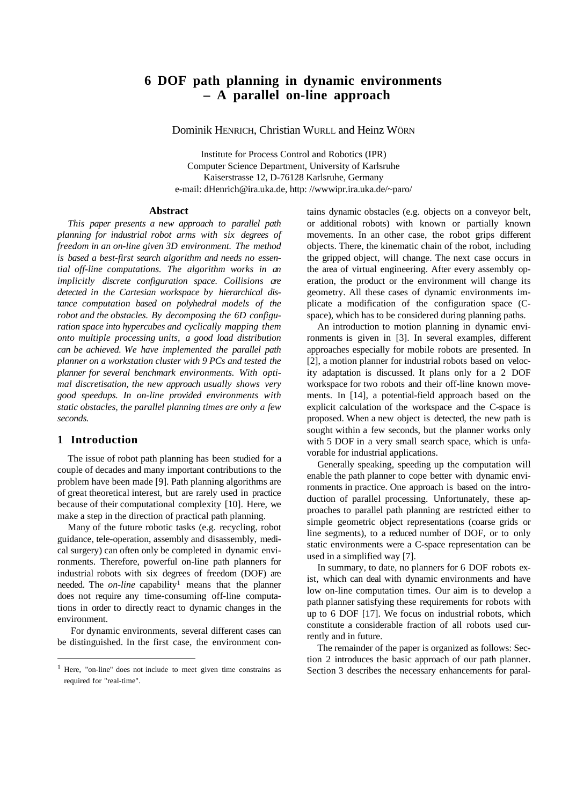# **6 DOF path planning in dynamic environments – A parallel on-line approach**

Dominik HENRICH, Christian WURLL and Heinz WÖRN

Institute for Process Control and Robotics (IPR) Computer Science Department, University of Karlsruhe Kaiserstrasse 12, D-76128 Karlsruhe, Germany e-mail: dHenrich@ira.uka.de, http: //wwwipr.ira.uka.de/~paro/

#### **Abstract**

*This paper presents a new approach to parallel path planning for industrial robot arms with six degrees of freedom in an on-line given 3D environment. The method is based a best-first search algorithm and needs no essential off-line computations. The algorithm works in an implicitly discrete configuration space. Collisions are detected in the Cartesian workspace by hierarchical distance computation based on polyhedral models of the robot and the obstacles. By decomposing the 6D configuration space into hypercubes and cyclically mapping them onto multiple processing units, a good load distribution can be achieved. We have implemented the parallel path planner on a workstation cluster with 9 PCs and tested the planner for several benchmark environments. With optimal discretisation, the new approach usually shows very good speedups. In on-line provided environments with static obstacles, the parallel planning times are only a few seconds.*

### **1 Introduction**

 $\overline{a}$ 

The issue of robot path planning has been studied for a couple of decades and many important contributions to the problem have been made [9]. Path planning algorithms are of great theoretical interest, but are rarely used in practice because of their computational complexity [10]. Here, we make a step in the direction of practical path planning.

Many of the future robotic tasks (e.g. recycling, robot guidance, tele-operation, assembly and disassembly, medical surgery) can often only be completed in dynamic environments. Therefore, powerful on-line path planners for industrial robots with six degrees of freedom (DOF) are needed. The *on-line* capability<sup>1</sup> means that the planner does not require any time-consuming off-line computations in order to directly react to dynamic changes in the environment.

 For dynamic environments, several different cases can be distinguished. In the first case, the environment contains dynamic obstacles (e.g. objects on a conveyor belt, or additional robots) with known or partially known movements. In an other case, the robot grips different objects. There, the kinematic chain of the robot, including the gripped object, will change. The next case occurs in the area of virtual engineering. After every assembly operation, the product or the environment will change its geometry. All these cases of dynamic environments implicate a modification of the configuration space (Cspace), which has to be considered during planning paths.

An introduction to motion planning in dynamic environments is given in [3]. In several examples, different approaches especially for mobile robots are presented. In [2], a motion planner for industrial robots based on velocity adaptation is discussed. It plans only for a 2 DOF workspace for two robots and their off-line known movements. In [14], a potential-field approach based on the explicit calculation of the workspace and the C-space is proposed. When a new object is detected, the new path is sought within a few seconds, but the planner works only with 5 DOF in a very small search space, which is unfavorable for industrial applications.

Generally speaking, speeding up the computation will enable the path planner to cope better with dynamic environments in practice. One approach is based on the introduction of parallel processing. Unfortunately, these approaches to parallel path planning are restricted either to simple geometric object representations (coarse grids or line segments), to a reduced number of DOF, or to only static environments were a C-space representation can be used in a simplified way [7].

In summary, to date, no planners for 6 DOF robots exist, which can deal with dynamic environments and have low on-line computation times. Our aim is to develop a path planner satisfying these requirements for robots with up to 6 DOF [17]. We focus on industrial robots, which constitute a considerable fraction of all robots used currently and in future.

The remainder of the paper is organized as follows: Section 2 introduces the basic approach of our path planner. Section 3 describes the necessary enhancements for paral-

<sup>1</sup> Here, "on-line" does not include to meet given time constrains as required for "real-time".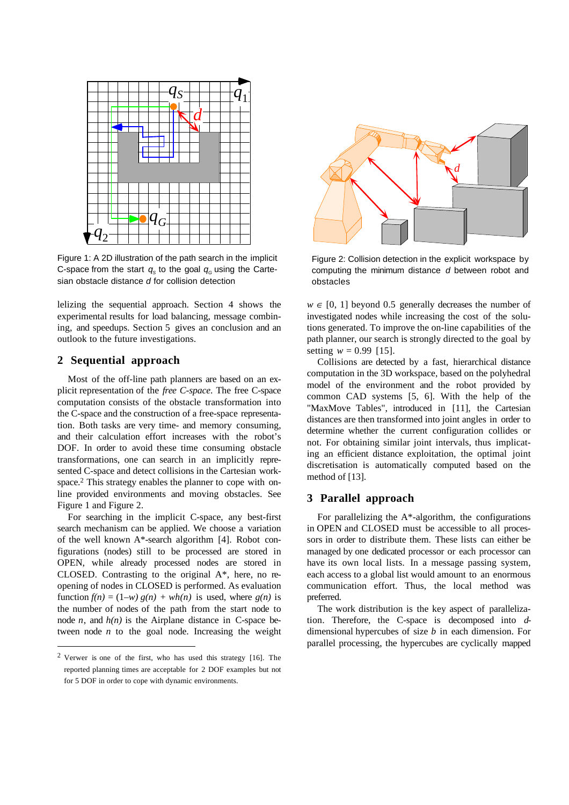

Figure 1: A 2D illustration of the path search in the implicit C-space from the start  $q_s$  to the goal  $q_g$  using the Cartesian obstacle distance *d* for collision detection

lelizing the sequential approach. Section 4 shows the experimental results for load balancing, message combining, and speedups. Section 5 gives an conclusion and an outlook to the future investigations.

# **2 Sequential approach**

Most of the off-line path planners are based on an explicit representation of the *free C-space*. The free C-space computation consists of the obstacle transformation into the C-space and the construction of a free-space representation. Both tasks are very time- and memory consuming, and their calculation effort increases with the robot's DOF. In order to avoid these time consuming obstacle transformations, one can search in an implicitly represented C-space and detect collisions in the Cartesian workspace.<sup>2</sup> This strategy enables the planner to cope with online provided environments and moving obstacles. See Figure 1 and Figure 2.

For searching in the implicit C-space, any best-first search mechanism can be applied. We choose a variation of the well known A\*-search algorithm [4]. Robot configurations (nodes) still to be processed are stored in OPEN, while already processed nodes are stored in CLOSED. Contrasting to the original A\*, here, no reopening of nodes in CLOSED is performed. As evaluation function  $f(n) = (1-w) g(n) + wh(n)$  is used, where  $g(n)$  is the number of nodes of the path from the start node to node  $n$ , and  $h(n)$  is the Airplane distance in C-space between node  $n$  to the goal node. Increasing the weight

 $\overline{a}$ 



Figure 2: Collision detection in the explicit workspace by computing the minimum distance *d* between robot and obstacles

 $w \in [0, 1]$  beyond 0.5 generally decreases the number of investigated nodes while increasing the cost of the solutions generated. To improve the on-line capabilities of the path planner, our search is strongly directed to the goal by setting  $w = 0.99$  [15].

Collisions are detected by a fast, hierarchical distance computation in the 3D workspace, based on the polyhedral model of the environment and the robot provided by common CAD systems [5, 6]. With the help of the "MaxMove Tables", introduced in [11], the Cartesian distances are then transformed into joint angles in order to determine whether the current configuration collides or not. For obtaining similar joint intervals, thus implicating an efficient distance exploitation, the optimal joint discretisation is automatically computed based on the method of [13].

# **3 Parallel approach**

For parallelizing the  $A^*$ -algorithm, the configurations in OPEN and CLOSED must be accessible to all processors in order to distribute them. These lists can either be managed by one dedicated processor or each processor can have its own local lists. In a message passing system, each access to a global list would amount to an enormous communication effort. Thus, the local method was preferred.

The work distribution is the key aspect of parallelization. Therefore, the C-space is decomposed into *d*dimensional hypercubes of size *b* in each dimension. For parallel processing, the hypercubes are cyclically mapped

<sup>2</sup> Verwer is one of the first, who has used this strategy [16]. The reported planning times are acceptable for 2 DOF examples but not for 5 DOF in order to cope with dynamic environments.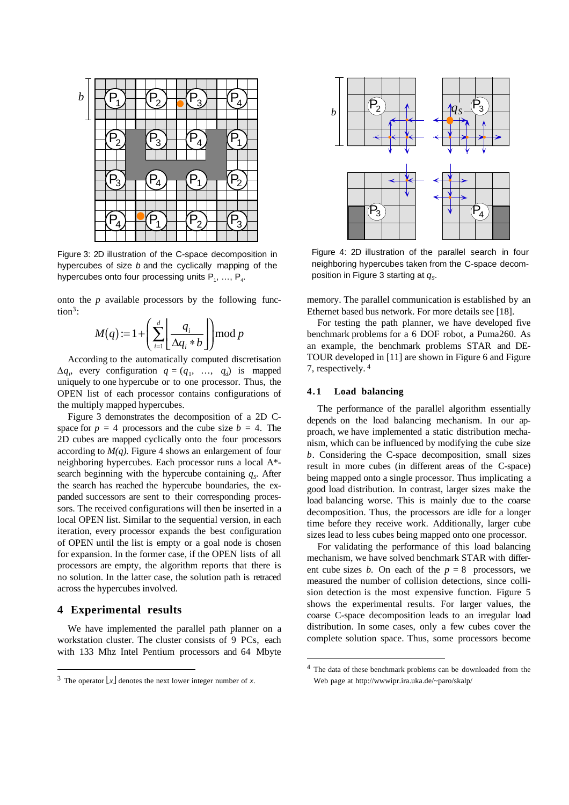

Figure 3: 2D illustration of the C-space decomposition in hypercubes of size *b* and the cyclically mapping of the hypercubes onto four processing units  $P_1, ..., P_4$ .

onto the *p* available processors by the following function<sup>3</sup>:

$$
M(q) := 1 + \left(\sum_{i=1}^d \left\lfloor \frac{q_i}{\Delta q_i * b} \right\rfloor \mod p\right)
$$

According to the automatically computed discretisation  $\Delta q_i$ , every configuration  $q = (q_1, \ldots, q_d)$  is mapped uniquely to one hypercube or to one processor. Thus, the OPEN list of each processor contains configurations of the multiply mapped hypercubes.

Figure 3 demonstrates the decomposition of a 2D Cspace for  $p = 4$  processors and the cube size  $b = 4$ . The 2D cubes are mapped cyclically onto the four processors according to  $M(q)$ . Figure 4 shows an enlargement of four neighboring hypercubes. Each processor runs a local A\* search beginning with the hypercube containing  $q<sub>S</sub>$ . After the search has reached the hypercube boundaries, the expanded successors are sent to their corresponding processors. The received configurations will then be inserted in a local OPEN list. Similar to the sequential version, in each iteration, every processor expands the best configuration of OPEN until the list is empty or a goal node is chosen for expansion. In the former case, if the OPEN lists of all processors are empty, the algorithm reports that there is no solution. In the latter case, the solution path is retraced across the hypercubes involved.

#### **4 Experimental results**

 $\overline{a}$ 

We have implemented the parallel path planner on a workstation cluster. The cluster consists of 9 PCs, each with 133 Mhz Intel Pentium processors and 64 Mbyte



Figure 4: 2D illustration of the parallel search in four neighboring hypercubes taken from the C-space decomposition in Figure 3 starting at  $q_s$ .

memory. The parallel communication is established by an Ethernet based bus network. For more details see [18].

For testing the path planner, we have developed five benchmark problems for a 6 DOF robot, a Puma260. As an example, the benchmark problems STAR and DE-TOUR developed in [11] are shown in Figure 6 and Figure 7, respectively. 4

### **4.1 Load balancing**

 $\overline{a}$ 

The performance of the parallel algorithm essentially depends on the load balancing mechanism. In our approach, we have implemented a static distribution mechanism, which can be influenced by modifying the cube size *b*. Considering the C-space decomposition, small sizes result in more cubes (in different areas of the C-space) being mapped onto a single processor. Thus implicating a good load distribution. In contrast, larger sizes make the load balancing worse. This is mainly due to the coarse decomposition. Thus, the processors are idle for a longer time before they receive work. Additionally, larger cube sizes lead to less cubes being mapped onto one processor.

For validating the performance of this load balancing mechanism, we have solved benchmark STAR with different cube sizes *b*. On each of the  $p = 8$  processors, we measured the number of collision detections, since collision detection is the most expensive function. Figure 5 shows the experimental results. For larger values, the coarse C-space decomposition leads to an irregular load distribution. In some cases, only a few cubes cover the complete solution space. Thus, some processors become

<sup>&</sup>lt;sup>3</sup> The operator  $\lfloor x \rfloor$  denotes the next lower integer number of *x*.

<sup>4</sup> The data of these benchmark problems can be downloaded from the Web page at http://wwwipr.ira.uka.de/~paro/skalp/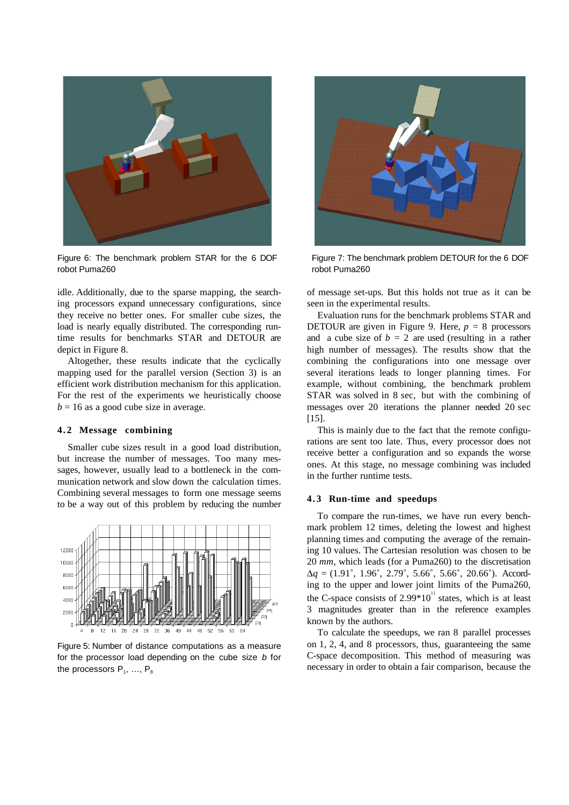

Figure 6: The benchmark problem STAR for the 6 DOF robot Puma260

idle. Additionally, due to the sparse mapping, the searching processors expand unnecessary configurations, since they receive no better ones. For smaller cube sizes, the load is nearly equally distributed. The corresponding runtime results for benchmarks STAR and DETOUR are depict in Figure 8.

Altogether, these results indicate that the cyclically mapping used for the parallel version (Section 3) is an efficient work distribution mechanism for this application. For the rest of the experiments we heuristically choose  $b = 16$  as a good cube size in average.

#### **4.2 Message combining**

Smaller cube sizes result in a good load distribution, but increase the number of messages. Too many messages, however, usually lead to a bottleneck in the communication network and slow down the calculation times. Combining several messages to form one message seems to be a way out of this problem by reducing the number



Figure 5: Number of distance computations as a measure for the processor load depending on the cube size *b* for the processors  $P_1, ..., P_8$ 



Figure 7: The benchmark problem DETOUR for the 6 DOF robot Puma260

of message set-ups. But this holds not true as it can be seen in the experimental results.

Evaluation runs for the benchmark problems STAR and DETOUR are given in Figure 9. Here, *p =* 8 processors and a cube size of  $b = 2$  are used (resulting in a rather high number of messages). The results show that the combining the configurations into one message over several iterations leads to longer planning times. For example, without combining, the benchmark problem STAR was solved in 8 sec, but with the combining of messages over 20 iterations the planner needed 20 sec [15].

This is mainly due to the fact that the remote configurations are sent too late. Thus, every processor does not receive better a configuration and so expands the worse ones. At this stage, no message combining was included in the further runtime tests.

#### **4.3 Run-time and speedups**

To compare the run-times, we have run every benchmark problem 12 times, deleting the lowest and highest planning times and computing the average of the remaining 10 values. The Cartesian resolution was chosen to be 20 *mm*, which leads (for a Puma260) to the discretisation  $\Delta q = (1.91^\circ, 1.96^\circ, 2.79^\circ, 5.66^\circ, 5.66^\circ, 20.66^\circ)$ . According to the upper and lower joint limits of the Puma260, the C-space consists of 2.99 $*10<sup>11</sup>$  states, which is at least 3 magnitudes greater than in the reference examples known by the authors.

To calculate the speedups, we ran 8 parallel processes on 1, 2, 4, and 8 processors, thus, guaranteeing the same C-space decomposition. This method of measuring was necessary in order to obtain a fair comparison, because the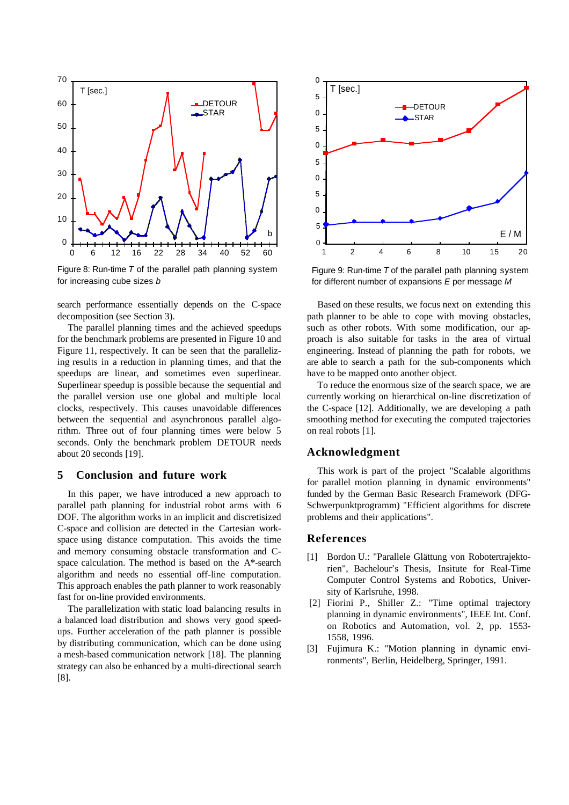

Figure 8: Run-time *T* of the parallel path planning system for increasing cube sizes *b*

search performance essentially depends on the C-space decomposition (see Section 3).

The parallel planning times and the achieved speedups for the benchmark problems are presented in Figure 10 and Figure 11, respectively. It can be seen that the parallelizing results in a reduction in planning times, and that the speedups are linear, and sometimes even superlinear. Superlinear speedup is possible because the sequential and the parallel version use one global and multiple local clocks, respectively. This causes unavoidable differences between the sequential and asynchronous parallel algorithm. Three out of four planning times were below 5 seconds. Only the benchmark problem DETOUR needs about 20 seconds [19].

### **5 Conclusion and future work**

In this paper, we have introduced a new approach to parallel path planning for industrial robot arms with 6 DOF. The algorithm works in an implicit and discretisized C-space and collision are detected in the Cartesian workspace using distance computation. This avoids the time and memory consuming obstacle transformation and Cspace calculation. The method is based on the A\*-search algorithm and needs no essential off-line computation. This approach enables the path planner to work reasonably fast for on-line provided environments.

The parallelization with static load balancing results in a balanced load distribution and shows very good speedups. Further acceleration of the path planner is possible by distributing communication, which can be done using a mesh-based communication network [18]. The planning strategy can also be enhanced by a multi-directional search [8].



Figure 9: Run-time *T* of the parallel path planning system for different number of expansions *E* per message *M*

Based on these results, we focus next on extending this path planner to be able to cope with moving obstacles, such as other robots. With some modification, our approach is also suitable for tasks in the area of virtual engineering. Instead of planning the path for robots, we are able to search a path for the sub-components which have to be mapped onto another object.

To reduce the enormous size of the search space, we are currently working on hierarchical on-line discretization of the C-space [12]. Additionally, we are developing a path smoothing method for executing the computed trajectories on real robots [1].

### **Acknowledgment**

This work is part of the project "Scalable algorithms for parallel motion planning in dynamic environments" funded by the German Basic Research Framework (DFG-Schwerpunktprogramm) "Efficient algorithms for discrete problems and their applications".

#### **References**

- [1] Bordon U.: "Parallele Glättung von Robotertrajektorien", Bachelour's Thesis, Insitute for Real-Time Computer Control Systems and Robotics, University of Karlsruhe, 1998.
- [2] Fiorini P., Shiller Z.: "Time optimal trajectory planning in dynamic environments", IEEE Int. Conf. on Robotics and Automation, vol. 2, pp. 1553- 1558, 1996.
- [3] Fujimura K.: "Motion planning in dynamic environments", Berlin, Heidelberg, Springer, 1991.